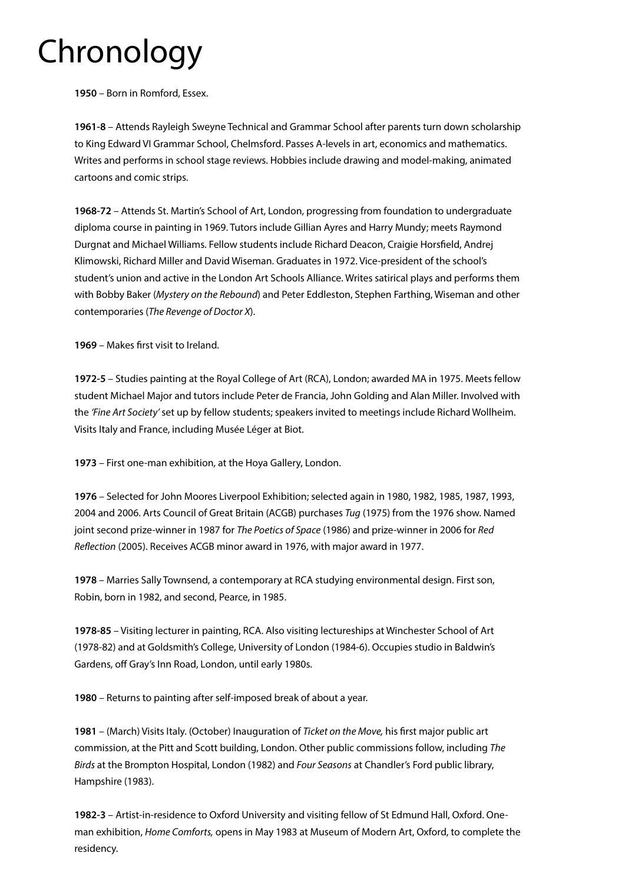## Chronology

**1950** – Born in Romford, Essex.

**1961-8** – Attends Rayleigh Sweyne Technical and Grammar School after parents turn down scholarship to King Edward VI Grammar School, Chelmsford. Passes A-levels in art, economics and mathematics. Writes and performs in school stage reviews. Hobbies include drawing and model-making, animated cartoons and comic strips.

**1968-72** – Attends St. Martin's School of Art, London, progressing from foundation to undergraduate diploma course in painting in 1969. Tutors include Gillian Ayres and Harry Mundy; meets Raymond Durgnat and Michael Williams. Fellow students include Richard Deacon, Craigie Horsfield, Andrej Klimowski, Richard Miller and David Wiseman. Graduates in 1972. Vice-president of the school's student's union and active in the London Art Schools Alliance. Writes satirical plays and performs them with Bobby Baker (*Mystery on the Rebound*) and Peter Eddleston, Stephen Farthing, Wiseman and other contemporaries (*The Revenge of Doctor X*).

**1969** – Makes first visit to Ireland.

**1972-5** – Studies painting at the Royal College of Art (RCA), London; awarded MA in 1975. Meets fellow student Michael Major and tutors include Peter de Francia, John Golding and Alan Miller. Involved with the *'Fine Art Society'* set up by fellow students; speakers invited to meetings include Richard Wollheim. Visits Italy and France, including Musée Léger at Biot.

**1973** – First one-man exhibition, at the Hoya Gallery, London.

**1976** – Selected for John Moores Liverpool Exhibition; selected again in 1980, 1982, 1985, 1987, 1993, 2004 and 2006. Arts Council of Great Britain (ACGB) purchases *Tug* (1975) from the 1976 show. Named joint second prize-winner in 1987 for *The Poetics of Space* (1986) and prize-winner in 2006 for *Red Reflection* (2005). Receives ACGB minor award in 1976, with major award in 1977.

**1978** – Marries Sally Townsend, a contemporary at RCA studying environmental design. First son, Robin, born in 1982, and second, Pearce, in 1985.

**1978-85** – Visiting lecturer in painting, RCA. Also visiting lectureships at Winchester School of Art (1978-82) and at Goldsmith's College, University of London (1984-6). Occupies studio in Baldwin's Gardens, off Gray's Inn Road, London, until early 1980s.

**1980** – Returns to painting after self-imposed break of about a year.

**1981** – (March) Visits Italy. (October) Inauguration of *Ticket on the Move,* his first major public art commission, at the Pitt and Scott building, London. Other public commissions follow, including *The Birds* at the Brompton Hospital, London (1982) and *Four Seasons* at Chandler's Ford public library, Hampshire (1983).

**1982-3** – Artist-in-residence to Oxford University and visiting fellow of St Edmund Hall, Oxford. Oneman exhibition, *Home Comforts,* opens in May 1983 at Museum of Modern Art, Oxford, to complete the residency.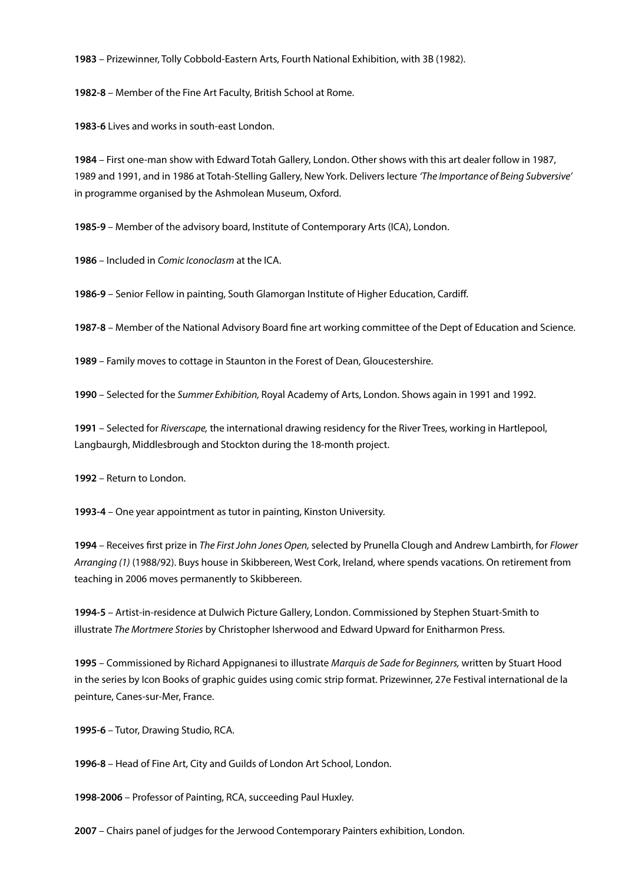**1983** – Prizewinner, Tolly Cobbold-Eastern Arts, Fourth National Exhibition, with 3B (1982).

**1982-8** – Member of the Fine Art Faculty, British School at Rome.

**1983-6** Lives and works in south-east London.

**1984** – First one-man show with Edward Totah Gallery, London. Other shows with this art dealer follow in 1987, 1989 and 1991, and in 1986 at Totah-Stelling Gallery, New York. Delivers lecture *'The Importance of Being Subversive'* in programme organised by the Ashmolean Museum, Oxford.

**1985-9** – Member of the advisory board, Institute of Contemporary Arts (ICA), London.

**1986** – Included in *Comic Iconoclasm* at the ICA.

**1986-9** – Senior Fellow in painting, South Glamorgan Institute of Higher Education, Cardiff.

**1987-8** – Member of the National Advisory Board fine art working committee of the Dept of Education and Science.

**1989** – Family moves to cottage in Staunton in the Forest of Dean, Gloucestershire.

**1990** – Selected for the *Summer Exhibition,* Royal Academy of Arts, London. Shows again in 1991 and 1992.

**1991** – Selected for *Riverscape,* the international drawing residency for the River Trees, working in Hartlepool, Langbaurgh, Middlesbrough and Stockton during the 18-month project.

**1992** – Return to London.

**1993-4** – One year appointment as tutor in painting, Kinston University.

**1994** – Receives first prize in *The First John Jones Open,* selected by Prunella Clough and Andrew Lambirth, for *Flower Arranging (1)* (1988/92). Buys house in Skibbereen, West Cork, Ireland, where spends vacations. On retirement from teaching in 2006 moves permanently to Skibbereen.

**1994-5** – Artist-in-residence at Dulwich Picture Gallery, London. Commissioned by Stephen Stuart-Smith to illustrate *The Mortmere Stories* by Christopher Isherwood and Edward Upward for Enitharmon Press.

**1995** – Commissioned by Richard Appignanesi to illustrate *Marquis de Sade for Beginners,* written by Stuart Hood in the series by Icon Books of graphic guides using comic strip format. Prizewinner, 27e Festival international de la peinture, Canes-sur-Mer, France.

**1995-6** – Tutor, Drawing Studio, RCA.

**1996-8** – Head of Fine Art, City and Guilds of London Art School, London.

**1998-2006** – Professor of Painting, RCA, succeeding Paul Huxley.

**2007** – Chairs panel of judges for the Jerwood Contemporary Painters exhibition, London.